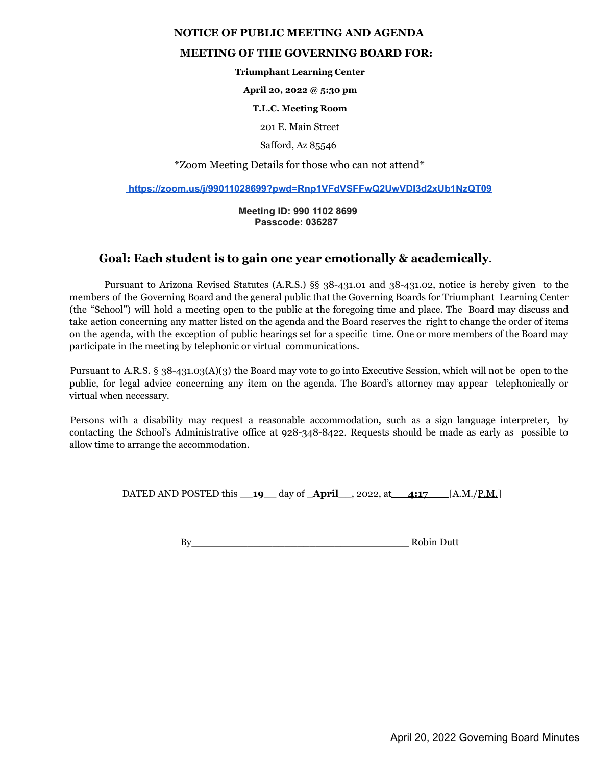## **NOTICE OF PUBLIC MEETING AND AGENDA**

## **MEETING OF THE GOVERNING BOARD FOR:**

**Triumphant Learning Center**

**April 20, 2022 @ 5:30 pm**

**T.L.C. Meeting Room**

201 E. Main Street

Safford, Az 85546

\*Zoom Meeting Details for those who can not attend\*

**https://zoom.us/j/99011028699?pwd=Rnp1VFdVSFFwQ2UwVDI3d2xUb1NzQT09**

**Meeting ID: 990 1102 8699 Passcode: 036287**

## **Goal: Each student is to gain one year emotionally & academically**.

Pursuant to Arizona Revised Statutes (A.R.S.) §§ 38-431.01 and 38-431.02, notice is hereby given to the members of the Governing Board and the general public that the Governing Boards for Triumphant Learning Center (the "School") will hold a meeting open to the public at the foregoing time and place. The Board may discuss and take action concerning any matter listed on the agenda and the Board reserves the right to change the order of items on the agenda, with the exception of public hearings set for a specific time. One or more members of the Board may participate in the meeting by telephonic or virtual communications.

Pursuant to A.R.S. § 38-431.03(A)(3) the Board may vote to go into Executive Session, which will not be open to the public, for legal advice concerning any item on the agenda. The Board's attorney may appear telephonically or virtual when necessary.

Persons with a disability may request a reasonable accommodation, such as a sign language interpreter, by contacting the School's Administrative office at 928-348-8422. Requests should be made as early as possible to allow time to arrange the accommodation.

DATED AND POSTED this \_**\_19**\_\_ day of \_**April\_**\_, 2022, at **4:17** [A.M./P.M.]

By\_\_\_\_\_\_\_\_\_\_\_\_\_\_\_\_\_\_\_\_\_\_\_\_\_\_\_\_\_\_\_\_\_\_\_ Robin Dutt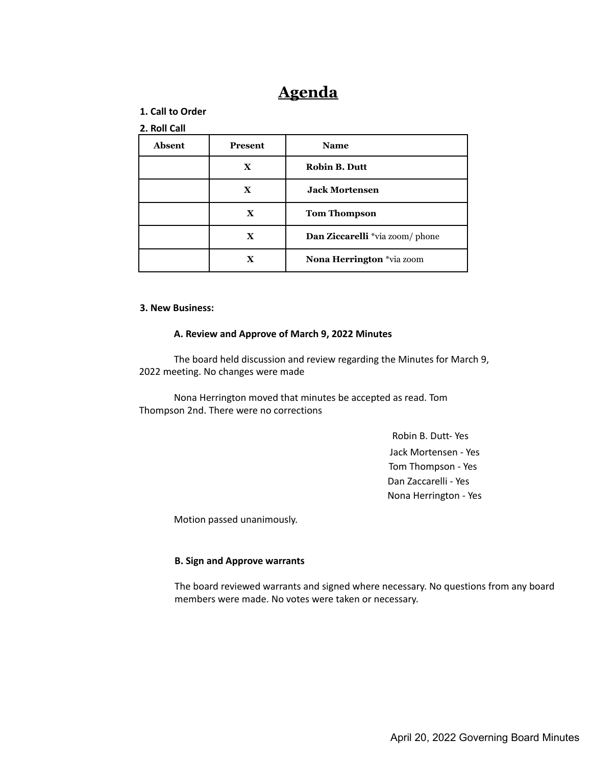# **Agenda**

## **1. Call to Order**

## **2. Roll Call**

| Absent | <b>Present</b> | <b>Name</b>                            |
|--------|----------------|----------------------------------------|
|        | X              | <b>Robin B. Dutt</b>                   |
|        | X              | <b>Jack Mortensen</b>                  |
|        | $\mathbf x$    | <b>Tom Thompson</b>                    |
|        | $\mathbf x$    | <b>Dan Ziccarelli</b> *via zoom/ phone |
|        | X              | Nona Herrington *via zoom              |

## **3. New Business:**

#### **A. Review and Approve of March 9, 2022 Minutes**

The board held discussion and review regarding the Minutes for March 9, 2022 meeting. No changes were made

Nona Herrington moved that minutes be accepted as read. Tom Thompson 2nd. There were no corrections

> Robin B. Dutt- Yes Jack Mortensen - Yes Tom Thompson - Yes Dan Zaccarelli - Yes Nona Herrington - Yes

Motion passed unanimously.

#### **B. Sign and Approve warrants**

The board reviewed warrants and signed where necessary. No questions from any board members were made. No votes were taken or necessary.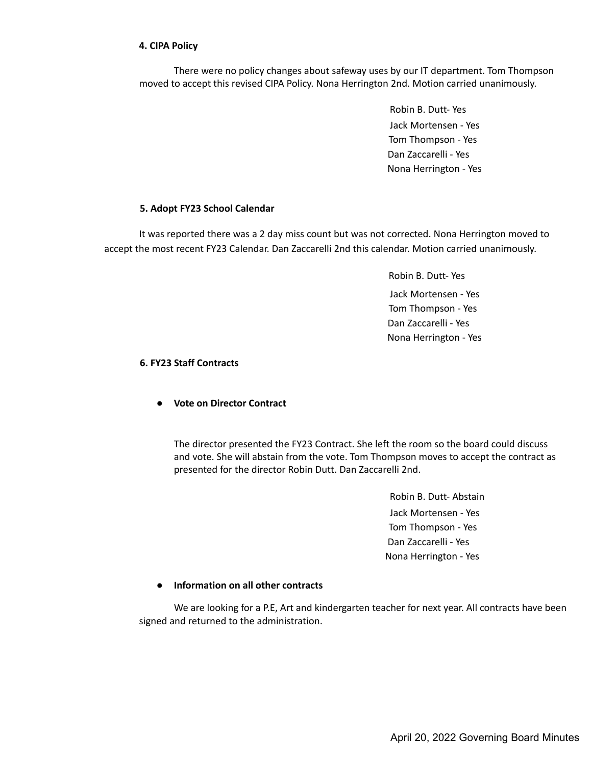## **4. CIPA Policy**

There were no policy changes about safeway uses by our IT department. Tom Thompson moved to accept this revised CIPA Policy. Nona Herrington 2nd. Motion carried unanimously.

> Robin B. Dutt- Yes Jack Mortensen - Yes Tom Thompson - Yes Dan Zaccarelli - Yes Nona Herrington - Yes

## **5. Adopt FY23 School Calendar**

It was reported there was a 2 day miss count but was not corrected. Nona Herrington moved to accept the most recent FY23 Calendar. Dan Zaccarelli 2nd this calendar. Motion carried unanimously.

> Robin B. Dutt- Yes Jack Mortensen - Yes Tom Thompson - Yes Dan Zaccarelli - Yes Nona Herrington - Yes

## **6. FY23 Staff Contracts**

## **● Vote on Director Contract**

The director presented the FY23 Contract. She left the room so the board could discuss and vote. She will abstain from the vote. Tom Thompson moves to accept the contract as presented for the director Robin Dutt. Dan Zaccarelli 2nd.

> Robin B. Dutt- Abstain Jack Mortensen - Yes Tom Thompson - Yes Dan Zaccarelli - Yes Nona Herrington - Yes

## **● Information on all other contracts**

We are looking for a P.E, Art and kindergarten teacher for next year. All contracts have been signed and returned to the administration.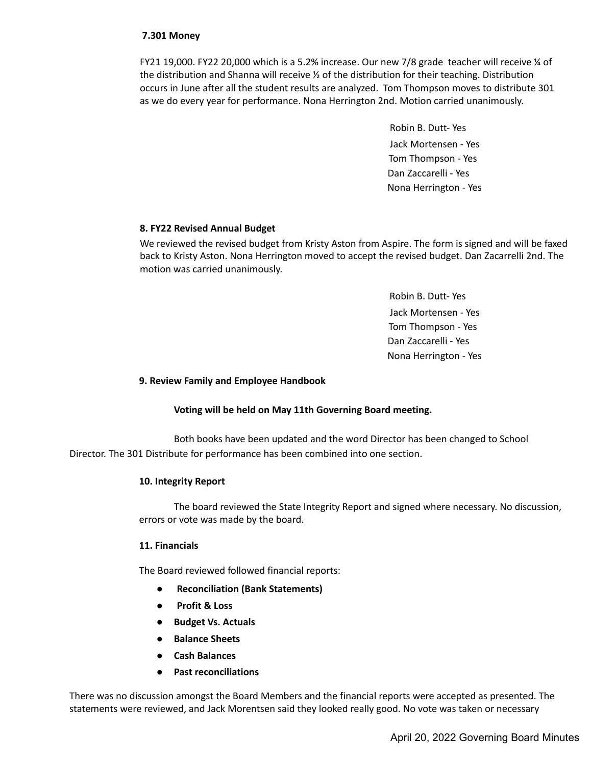## **7.301 Money**

FY21 19,000. FY22 20,000 which is a 5.2% increase. Our new 7/8 grade teacher will receive ¼ of the distribution and Shanna will receive  $\frac{y}{2}$  of the distribution for their teaching. Distribution occurs in June after all the student results are analyzed. Tom Thompson moves to distribute 301 as we do every year for performance. Nona Herrington 2nd. Motion carried unanimously.

> Robin B. Dutt- Yes Jack Mortensen - Yes Tom Thompson - Yes Dan Zaccarelli - Yes Nona Herrington - Yes

## **8. FY22 Revised Annual Budget**

We reviewed the revised budget from Kristy Aston from Aspire. The form is signed and will be faxed back to Kristy Aston. Nona Herrington moved to accept the revised budget. Dan Zacarrelli 2nd. The motion was carried unanimously.

> Robin B. Dutt- Yes Jack Mortensen - Yes Tom Thompson - Yes Dan Zaccarelli - Yes Nona Herrington - Yes

## **9. Review Family and Employee Handbook**

#### **Voting will be held on May 11th Governing Board meeting.**

Both books have been updated and the word Director has been changed to School Director. The 301 Distribute for performance has been combined into one section.

#### **10. Integrity Report**

The board reviewed the State Integrity Report and signed where necessary. No discussion, errors or vote was made by the board.

#### **11. Financials**

The Board reviewed followed financial reports:

- **● Reconciliation (Bank Statements)**
- **● Profit & Loss**
- **● Budget Vs. Actuals**
- **● Balance Sheets**
- **● Cash Balances**
- **● Past reconciliations**

There was no discussion amongst the Board Members and the financial reports were accepted as presented. The statements were reviewed, and Jack Morentsen said they looked really good. No vote was taken or necessary